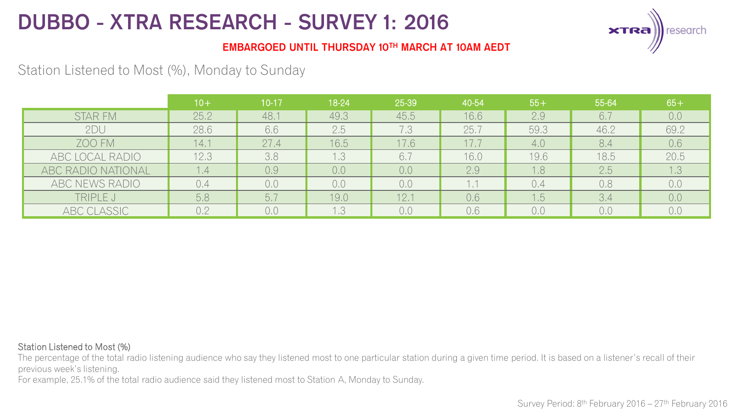

### EMBARGOED UNTIL THURSDAY 10TH MARCH AT 10AM AEDT

## Station Listened to Most (%), Monday to Sunday

|                    | $10+$ | 10-17 | 18-24 | 25-39 | 40-54 | $55+$ | 55-64     | $65+$ |
|--------------------|-------|-------|-------|-------|-------|-------|-----------|-------|
| <b>STAR FM</b>     | 25.2  | 48.   | 49.3  | 45.5  | 16.6  | 2.9   | 6.7       | 0.0   |
| 2DU                | 28.6  | 6.6   | 2.5   | 7.3   | 25.7  | 59.3  | 46.2      | 69.2  |
| ZOO FM             | 14.1  | 27.4  | 16.5  | 17.6  |       | 4.0   | 8.4       | 0.6   |
| ABC LOCAL RADIO    | 12.3  | 3,8   | 1.3   | 6.7   | 16.0  | 19.6  | 18.5      | 20.5  |
| ABC RADIO NATIONAL | 1.4   | 0.9   | 0,0   | 0,0   | 2.9   | 1.8   | 2.5       | l .3  |
| ABC NEWS RADIO     | 0.4   | 0,0   | 0,0   | 0,0   |       | 0.4   | 0,8       | 0,0   |
| TRIPLE J           | 5,8   | b.1   | 19.0  | 12.7  | 0.6   | .5    | $3.4^{1}$ | 0.0   |
| ABC CLASSIC        | 0.2   | 0.0   | 1.3   | 0,0   | 0.6   | 0,0   | 0,0       | 0,0   |

#### Station Listened to Most (%)

The percentage of the total radio listening audience who say they listened most to one particular station during a given time period. It is based on a listener's recall of their previous week's listening.

For example, 25.1% of the total radio audience said they listened most to Station A, Monday to Sunday.

Survey Period: 8<sup>th</sup> February 2016 – 27<sup>th</sup> February 2016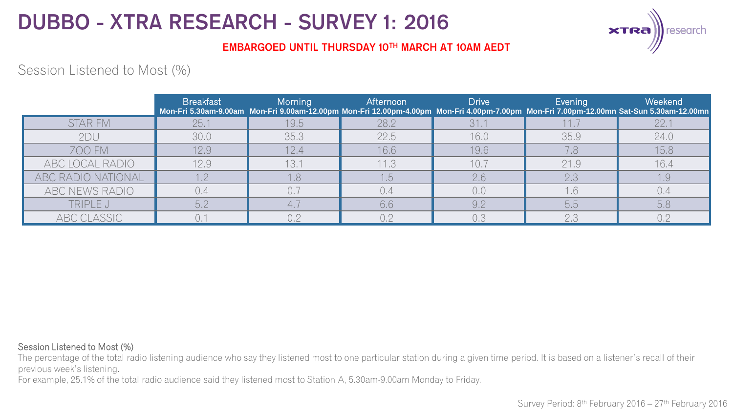

### EMBARGOED UNTIL THURSDAY 10TH MARCH AT 10AM AEDT

## Session Listened to Most (%)

|                    | <b>Breakfast</b> | Morning | Afternoon | Drive | Evening | Weekend<br>Mon-Fri 5.30am-9.00am Mon-Fri 9.00am-12.00pm Mon-Fri 12.00pm-4.00pm Mon-Fri 4.00pm-7.00pm Mon-Fri 7.00pm-12.00mn Sat-Sun 5.30am-12.00mn |
|--------------------|------------------|---------|-----------|-------|---------|----------------------------------------------------------------------------------------------------------------------------------------------------|
| <b>STAR FM</b>     | 25.1             | 19.5    | 28.2      | 31.7  |         | 22.1                                                                                                                                               |
| 2DU                | 30,0             | 35,3    | 22.5      | 16.0  | 35.9    | 24.0                                                                                                                                               |
| ZOO FM             | 12.9             | 12.4    | 16.6      | 19.6  | 7.8     | 15.8                                                                                                                                               |
| ABC LOCAL RADIO    | 12.9             | 13.1    | 11.3      | 10.7  | 21.9    | 16.4                                                                                                                                               |
| ABC RADIO NATIONAL | 1.2              | 1.8     | 1.5       | 2.6   | 2,3     | 1.9                                                                                                                                                |
| ABC NEWS RADIO     |                  |         |           | 0,0   |         | 0.4                                                                                                                                                |
| TRIPLE J           | 5.2              |         | 6.6       | 9.2   | 5.5     | 5.8                                                                                                                                                |
| ABC CLASSIC        |                  | 02      | 02        | 0.3   | 2,3     | 0.2                                                                                                                                                |

#### Session Listened to Most (%)

The percentage of the total radio listening audience who say they listened most to one particular station during a given time period. It is based on a listener's recall of their previous week's listening.

For example, 25.1% of the total radio audience said they listened most to Station A, 5.30am-9.00am Monday to Friday.

Survey Period: 8<sup>th</sup> February 2016 – 27<sup>th</sup> February 2016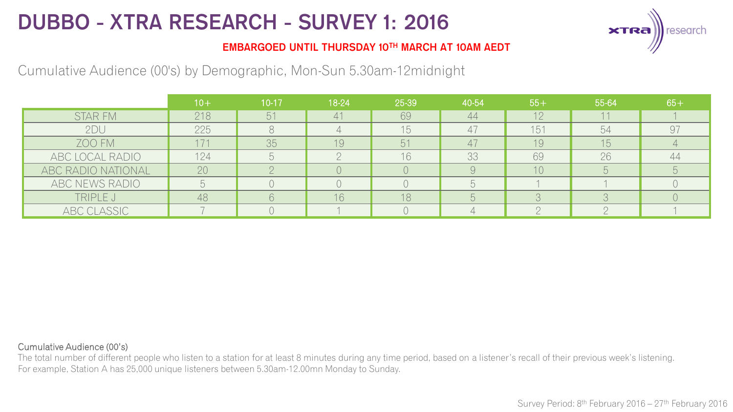

### EMBARGOED UNTIL THURSDAY 10TH MARCH AT 10AM AEDT

## Cumulative Audience (00's) by Demographic, Mon-Sun 5.30am-12midnight

|                    | $10 +$ | $10 - 17$ | 18-24 | 25-39 | 40-54  | $55+$ | 55-64 | $65+$ |
|--------------------|--------|-----------|-------|-------|--------|-------|-------|-------|
| <b>STAR FM</b>     | 218    | 51        | 41    | 69    | 44     | 12    |       |       |
| 2DU                | 225    |           |       | 15    | 4      | 151   | 54    | 97    |
| ZOO FM             | 171    | 35        | 19    | 51    | $^{4}$ | 19    | 15    |       |
| ABC LOCAL RADIO    | 124    |           |       | 16    | 33     | 69    | 26    |       |
| ABC RADIO NATIONAL | 20     |           |       |       |        | 10    |       |       |
| ABC NEWS RADIO     |        |           |       |       |        |       |       |       |
| TRIPLE J           | 48     |           | 16    | 18    |        |       |       |       |
| ABC CLASSIC        |        |           |       |       |        |       |       |       |

#### Cumulative Audience (00's)

The total number of different people who listen to a station for at least 8 minutes during any time period, based on a listener's recall of their previous week's listening. For example, Station A has 25,000 unique listeners between 5.30am-12.00mn Monday to Sunday.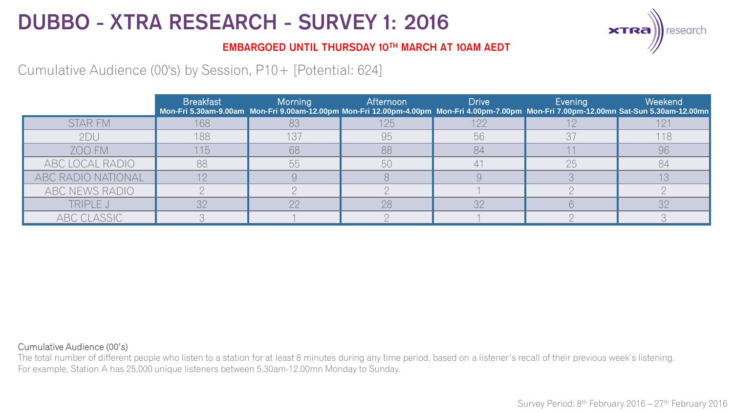

### EMBARGOED UNTIL THURSDAY 10TH MARCH AT 10AM AEDT

## Cumulative Audience (00's) by Session, P10+ [Potential: 624]

|                    | <b>Breakfast</b> | Morning | Afternoon | <b>Drive</b> | Evening | Weekend<br>Mon-Fri 5.30am-9.00am Mon-Fri 9.00am-12.00pm Mon-Fri 12.00pm-4.00pm Mon-Fri 4.00pm-7.00pm Mon-Fri 7.00pm-12.00mn Sat-Sun 5.30am-12.00mn |
|--------------------|------------------|---------|-----------|--------------|---------|----------------------------------------------------------------------------------------------------------------------------------------------------|
| <b>STAR FM</b>     | 168              |         | 125       | 122          |         |                                                                                                                                                    |
| 2DU                | 188              | 137     | 95        | 56           |         | 118                                                                                                                                                |
| ZOO FM             | 115              | 68      | 88        | 84           |         | 96                                                                                                                                                 |
| ABC LOCAL RADIO    | 88               | 55      | 50        |              | 25      | 84                                                                                                                                                 |
| ABC RADIO NATIONAL |                  |         |           |              |         |                                                                                                                                                    |
| ABC NEWS RADIO     |                  |         |           |              |         |                                                                                                                                                    |
| TRIPLE J           | つつ               | nn      | 28        | 32           |         | マウ                                                                                                                                                 |
| ABC CLASSIC        |                  |         |           |              |         |                                                                                                                                                    |

#### Cumulative Audience (00's)

The total number of different people who listen to a station for at least 8 minutes during any time period, based on a listener's recall of their previous week's listening. For example, Station A has 25,000 unique listeners between 5.30am-12.00mn Monday to Sunday.